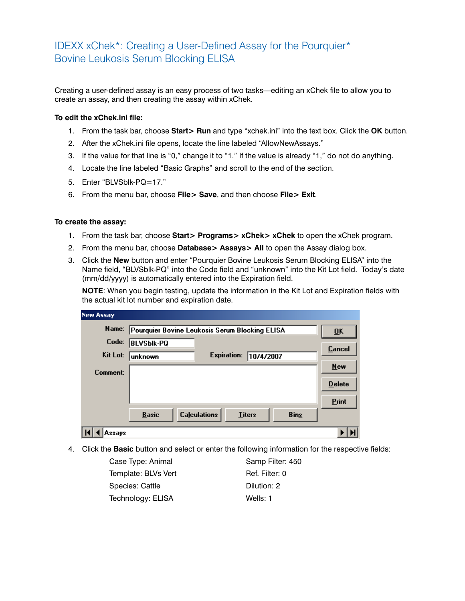## IDEXX xChek\*: Creating a User-Defined Assay for the Pourquier\* Bovine Leukosis Serum Blocking ELISA

Creating a user-defined assay is an easy process of two tasks—editing an xChek file to allow you to create an assay, and then creating the assay within xChek.

## **To edit the xChek.ini file:**

- 1. From the task bar, choose **Start> Run** and type "xchek.ini" into the text box. Click the **OK** button.
- 2. After the xChek.ini file opens, locate the line labeled "AllowNewAssays."
- 3. If the value for that line is "0," change it to "1." If the value is already "1," do not do anything.
- 4. Locate the line labeled "Basic Graphs" and scroll to the end of the section.
- 5. Enter "BLVSblk-PQ=17."
- 6. From the menu bar, choose **File> Save**, and then choose **File> Exit**.

## **To create the assay:**

- 1. From the task bar, choose **Start> Programs> xChek> xChek** to open the xChek program.
- 2. From the menu bar, choose **Database> Assays> All** to open the Assay dialog box.
- 3. Click the **New** button and enter "Pourquier Bovine Leukosis Serum Blocking ELISA" into the Name field, "BLVSblk-PQ" into the Code field and "unknown" into the Kit Lot field. Today's date (mm/dd/yyyy) is automatically entered into the Expiration field.

**NOTE:** When you begin testing, update the information in the Kit Lot and Expiration fields with the actual kit lot number and expiration date.

| <b>New Assay</b> |                                                                     |                           |
|------------------|---------------------------------------------------------------------|---------------------------|
| Name:            | Pourquier Bovine Leukosis Serum Blocking ELISA                      | $\overline{\mathbf{0}}$ K |
| Code:            | <b>BLVSbik-PQ</b>                                                   | Cancel                    |
| Kit Lot:         | <b>Expiration:</b><br>10/4/2007<br><b>unknown</b>                   |                           |
| Comment:         |                                                                     | <b>New</b>                |
|                  |                                                                     | <b>Delete</b>             |
|                  |                                                                     | Print                     |
|                  | <b>Calculations</b><br><b>Basic</b><br><b>Titers</b><br><b>Bins</b> |                           |
| Assavs           |                                                                     |                           |

4. Click the **Basic** button and select or enter the following information for the respective fields:

Case Type: Animal Samp Filter: 450 Template: BLVs Vert Ref. Filter: 0 Species: Cattle Dilution: 2 Technology: ELISA Wells: 1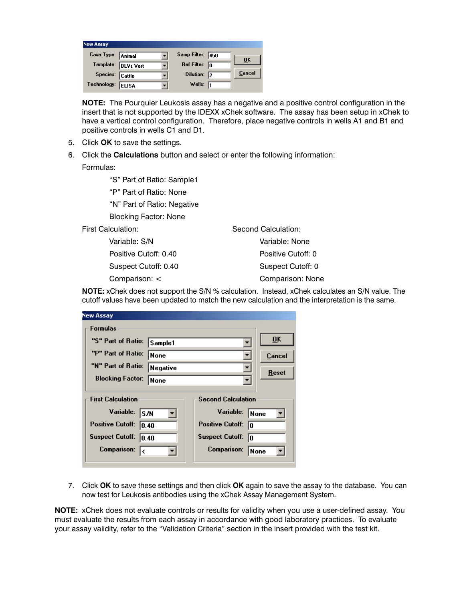| <b>New Assay</b>    |              |                         |                  |
|---------------------|--------------|-------------------------|------------------|
| Case Type: Animal   |              | Samp Filter: 450        | $\overline{0}$ K |
| Template: BLVs Vert |              | Ref Filter: $\boxed{0}$ |                  |
| Species: Cattle     |              | Dilution: 2             | Cancel           |
| Technology:         | <b>ELISA</b> | Wells: $\sqrt{1}$       |                  |

**NOTE:** The Pourquier Leukosis assay has a negative and a positive control configuration in the insert that is not supported by the IDEXX xChek software. The assay has been setup in xChek to have a vertical control configuration. Therefore, place negative controls in wells A1 and B1 and positive controls in wells C1 and D1.

- 5. Click **OK** to save the settings.
- 6. Click the **Calculations** button and select or enter the following information:

Formulas:

"S" Part of Ratio: Sample1

"P" Part of Ratio: None

"N" Part of Ratio: Negative

Blocking Factor: None

First Calculation:

 Variable: S/N Positive Cutoff: 0.40 Suspect Cutoff: 0.40 Comparison: <

Second Calculation: Variable: None Positive Cutoff: 0 Suspect Cutoff: 0 Comparison: None

**NOTE:** xChek does not support the S/N % calculation. Instead, xChek calculates an S/N value. The cutoff values have been updated to match the new calculation and the interpretation is the same.

| New Assay                                             |          |                               |                           |  |  |
|-------------------------------------------------------|----------|-------------------------------|---------------------------|--|--|
| <b>Formulas</b>                                       |          |                               |                           |  |  |
| "S" Part of Ratio:                                    | Sample1  |                               | $\overline{\mathbf{0}}$ K |  |  |
| "P" Part of Ratio:                                    | None     |                               | Cancel                    |  |  |
| "N" Part of Ratio:                                    | Negative |                               | Reset                     |  |  |
| <b>Blocking Factor:</b>                               | None     |                               |                           |  |  |
| <b>First Calculation</b><br><b>Second Calculation</b> |          |                               |                           |  |  |
| Variable:<br>S/N                                      |          | Variable:<br>None             |                           |  |  |
| <b>Positive Cutoff:</b><br>10.40                      |          | <b>Positive Cutoff:</b><br>l۵ |                           |  |  |
| <b>Suspect Cutoff:</b><br>10.40                       |          | <b>Suspect Cutoff:</b><br>lo  |                           |  |  |
| <b>Comparison:</b>                                    |          | <b>Comparison:</b><br> None   |                           |  |  |
|                                                       |          |                               |                           |  |  |

7. Click **OK** to save these settings and then click **OK** again to save the assay to the database. You can now test for Leukosis antibodies using the xChek Assay Management System.

**NOTE:** xChek does not evaluate controls or results for validity when you use a user-defined assay. You must evaluate the results from each assay in accordance with good laboratory practices. To evaluate your assay validity, refer to the "Validation Criteria" section in the insert provided with the test kit.